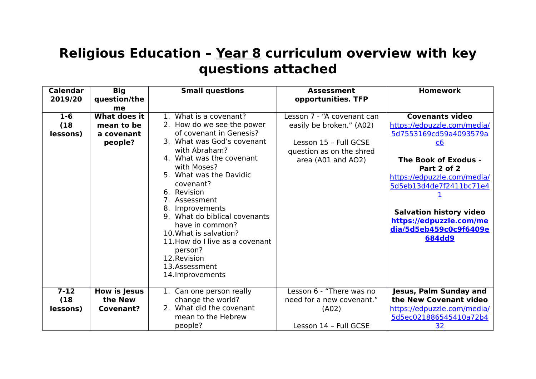## **Religious Education – Year 8 curriculum overview with key questions attached**

| <b>Calendar</b> | <b>Big</b>          | <b>Small questions</b>                      | <b>Assessment</b>                                 | <b>Homework</b>                |
|-----------------|---------------------|---------------------------------------------|---------------------------------------------------|--------------------------------|
| 2019/20         | question/the        |                                             | opportunities. TFP                                |                                |
|                 | me                  |                                             |                                                   |                                |
| $1 - 6$         | <b>What does it</b> | 1. What is a covenant?                      | Lesson 7 - "A covenant can                        | <b>Covenants video</b>         |
| (18)            | mean to be          | 2. How do we see the power                  | easily be broken." (A02)                          | https://edpuzzle.com/media/    |
| lessons)        | a covenant          | of covenant in Genesis?                     |                                                   | 5d7553169cd59a4093579a         |
|                 | people?             | 3. What was God's covenant<br>with Abraham? | Lesson 15 - Full GCSE<br>question as on the shred | $\underline{c6}$               |
|                 |                     | 4. What was the covenant                    | area (A01 and AO2)                                | The Book of Exodus -           |
|                 |                     | with Moses?                                 |                                                   | Part 2 of 2                    |
|                 |                     | 5. What was the Davidic                     |                                                   | https://edpuzzle.com/media/    |
|                 |                     | covenant?                                   |                                                   | 5d5eb13d4de7f2411bc71e4        |
|                 |                     | Revision<br>6.<br>7. Assessment             |                                                   |                                |
|                 |                     | Improvements<br>8.                          |                                                   |                                |
|                 |                     | 9. What do biblical covenants               |                                                   | <b>Salvation history video</b> |
|                 |                     | have in common?                             |                                                   | https://edpuzzle.com/me        |
|                 |                     | 10. What is salvation?                      |                                                   | dia/5d5eb459c0c9f6409e         |
|                 |                     | 11. How do I live as a covenant             |                                                   | <b>684dd9</b>                  |
|                 |                     | person?                                     |                                                   |                                |
|                 |                     | 12. Revision                                |                                                   |                                |
|                 |                     | 13.Assessment                               |                                                   |                                |
|                 |                     | 14. Improvements                            |                                                   |                                |
|                 |                     |                                             |                                                   |                                |
| $7 - 12$        | <b>How is Jesus</b> | 1. Can one person really                    | Lesson 6 - "There was no                          | Jesus, Palm Sunday and         |
| (18)            | the New             | change the world?                           | need for a new covenant."                         | the New Covenant video         |
| lessons)        | <b>Covenant?</b>    | 2. What did the covenant                    | (A02)                                             | https://edpuzzle.com/media/    |
|                 |                     | mean to the Hebrew                          |                                                   | 5d5ec021886545410a72b4         |
|                 |                     | people?                                     | Lesson 14 - Full GCSE                             | <u>32</u>                      |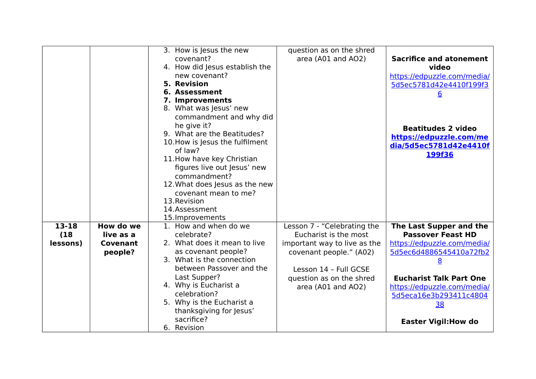|               |                        | 3. How is Jesus the new<br>covenant?<br>4. How did Jesus establish the<br>new covenant?<br><b>5. Revision</b>                                         | question as on the shred<br>area (A01 and AO2)                          | <b>Sacrifice and atonement</b><br>video<br>https://edpuzzle.com/media/<br>5d5ec5781d42e4410f199f3    |
|---------------|------------------------|-------------------------------------------------------------------------------------------------------------------------------------------------------|-------------------------------------------------------------------------|------------------------------------------------------------------------------------------------------|
|               |                        | 6. Assessment<br>7. Improvements<br>8. What was Jesus' new<br>commandment and why did                                                                 |                                                                         | 6                                                                                                    |
|               |                        | he give it?<br>9. What are the Beatitudes?<br>10. How is Jesus the fulfilment<br>of law?<br>11. How have key Christian<br>figures live out Jesus' new |                                                                         | <b>Beatitudes 2 video</b><br>https://edpuzzle.com/me<br>dia/5d5ec5781d42e4410f<br>199f36             |
|               |                        | commandment?<br>12. What does Jesus as the new<br>covenant mean to me?<br>13. Revision<br>14.Assessment<br>15. Improvements                           |                                                                         |                                                                                                      |
| 13-18<br>(18) | How do we<br>live as a | 1. How and when do we<br>celebrate?                                                                                                                   | Lesson 7 - "Celebrating the<br>Eucharist is the most                    | The Last Supper and the<br><b>Passover Feast HD</b>                                                  |
| lessons)      | Covenant<br>people?    | 2. What does it mean to live<br>as covenant people?<br>3. What is the connection<br>between Passover and the                                          | important way to live as the<br>covenant people." (A02)                 | https://edpuzzle.com/media/<br>5d5ec6d4886545410a72fb2<br>8                                          |
|               |                        | Last Supper?<br>4. Why is Eucharist a<br>celebration?<br>5. Why is the Eucharist a<br>thanksgiving for Jesus'                                         | Lesson 14 - Full GCSE<br>question as on the shred<br>area (A01 and AO2) | <b>Eucharist Talk Part One</b><br>https://edpuzzle.com/media/<br>5d5eca16e3b293411c4804<br><u>38</u> |
|               |                        | sacrifice?<br>6. Revision                                                                                                                             |                                                                         | <b>Easter Vigil: How do</b>                                                                          |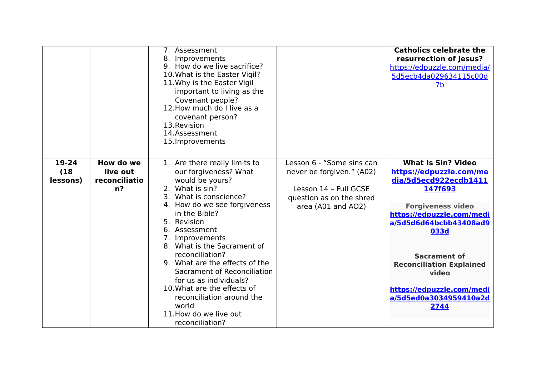|                               |                                              | 7. Assessment<br>8. Improvements<br>9. How do we live sacrifice?<br>10. What is the Easter Vigil?<br>11. Why is the Easter Vigil<br>important to living as the<br>Covenant people?<br>12. How much do I live as a<br>covenant person?<br>13. Revision<br>14.Assessment<br>15. Improvements                                                                                                                                                                                                |                                                                                                                                   | <b>Catholics celebrate the</b><br>resurrection of Jesus?<br>https://edpuzzle.com/media/<br>5d5ecb4da029634115c00d<br>7 <sub>b</sub>                                                                                                                                                                                   |
|-------------------------------|----------------------------------------------|-------------------------------------------------------------------------------------------------------------------------------------------------------------------------------------------------------------------------------------------------------------------------------------------------------------------------------------------------------------------------------------------------------------------------------------------------------------------------------------------|-----------------------------------------------------------------------------------------------------------------------------------|-----------------------------------------------------------------------------------------------------------------------------------------------------------------------------------------------------------------------------------------------------------------------------------------------------------------------|
| $19 - 24$<br>(18)<br>lessons) | How do we<br>live out<br>reconciliatio<br>n? | 1. Are there really limits to<br>our forgiveness? What<br>would be yours?<br>2. What is sin?<br>3. What is conscience?<br>4. How do we see forgiveness<br>in the Bible?<br>5. Revision<br>6. Assessment<br>7. Improvements<br>8. What is the Sacrament of<br>reconciliation?<br>9. What are the effects of the<br>Sacrament of Reconciliation<br>for us as individuals?<br>10. What are the effects of<br>reconciliation around the<br>world<br>11. How do we live out<br>reconciliation? | Lesson 6 - "Some sins can<br>never be forgiven." (A02)<br>Lesson 14 - Full GCSE<br>question as on the shred<br>area (A01 and AO2) | <b>What Is Sin? Video</b><br>https://edpuzzle.com/me<br>dia/5d5ecd922ecdb1411<br>147f693<br><b>Forgiveness video</b><br>https://edpuzzle.com/medi<br>a/5d5d6d64bcbb43408ad9<br>033d<br><b>Sacrament of</b><br><b>Reconciliation Explained</b><br>video<br>https://edpuzzle.com/medi<br>a/5d5ed0a3034959410a2d<br>2744 |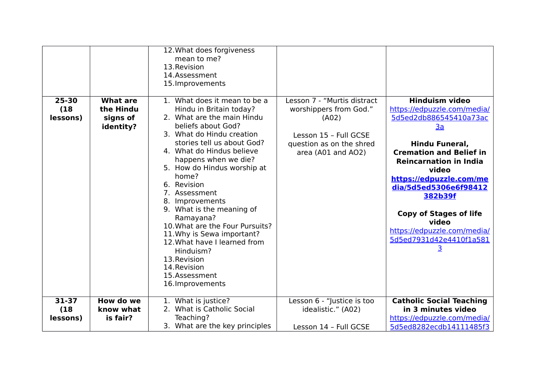|                               |                                                       | 12. What does forgiveness<br>mean to me?<br>13. Revision<br>14.Assessment<br>15. Improvements                                                                                                                                                                                                                                                                                                                                                                                                                                                       |                                                                                                                                           |                                                                                                                                                                                                                                                                                                                                                                   |
|-------------------------------|-------------------------------------------------------|-----------------------------------------------------------------------------------------------------------------------------------------------------------------------------------------------------------------------------------------------------------------------------------------------------------------------------------------------------------------------------------------------------------------------------------------------------------------------------------------------------------------------------------------------------|-------------------------------------------------------------------------------------------------------------------------------------------|-------------------------------------------------------------------------------------------------------------------------------------------------------------------------------------------------------------------------------------------------------------------------------------------------------------------------------------------------------------------|
| $25 - 30$<br>(18)<br>lessons) | <b>What are</b><br>the Hindu<br>signs of<br>identity? | 1. What does it mean to be a<br>Hindu in Britain today?<br>2. What are the main Hindu<br>beliefs about God?<br>3. What do Hindu creation<br>stories tell us about God?<br>4. What do Hindus believe<br>happens when we die?<br>5. How do Hindus worship at<br>home?<br>6. Revision<br>7. Assessment<br>8. Improvements<br>9. What is the meaning of<br>Ramayana?<br>10. What are the Four Pursuits?<br>11. Why is Sewa important?<br>12. What have I learned from<br>Hinduism?<br>13. Revision<br>14. Revision<br>15.Assessment<br>16. Improvements | Lesson 7 - "Murtis distract<br>worshippers from God."<br>(A02)<br>Lesson 15 - Full GCSE<br>question as on the shred<br>area (A01 and AO2) | <b>Hinduism video</b><br>https://edpuzzle.com/media/<br>5d5ed2db886545410a73ac<br>3a<br>Hindu Funeral,<br><b>Cremation and Belief in</b><br><b>Reincarnation in India</b><br>video<br>https://edpuzzle.com/me<br>dia/5d5ed5306e6f98412<br>382b39f<br><b>Copy of Stages of life</b><br>video<br>https://edpuzzle.com/media/<br>5d5ed7931d42e4410f1a581<br><u>3</u> |
| $31 - 37$<br>(18)<br>lessons) | How do we<br>know what<br>is fair?                    | 1. What is justice?<br>2. What is Catholic Social<br>Teaching?<br>3. What are the key principles                                                                                                                                                                                                                                                                                                                                                                                                                                                    | Lesson 6 - "Justice is too<br>idealistic." (A02)<br>Lesson 14 - Full GCSE                                                                 | <b>Catholic Social Teaching</b><br>in 3 minutes video<br>https://edpuzzle.com/media/<br>5d5ed8282ecdb14111485f3                                                                                                                                                                                                                                                   |